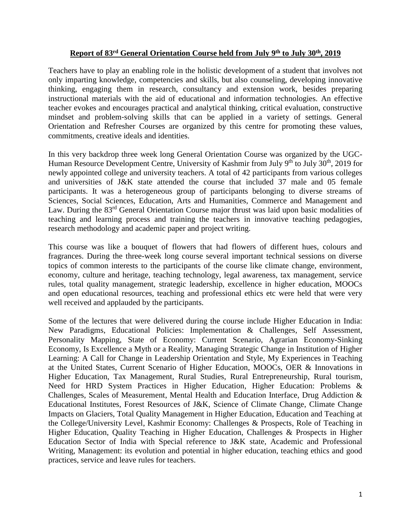## **Report of 83rd General Orientation Course held from July 9 th to July 30th, 2019**

Teachers have to play an enabling role in the holistic development of a student that involves not only imparting knowledge, competencies and skills, but also counseling, developing innovative thinking, engaging them in research, consultancy and extension work, besides preparing instructional materials with the aid of educational and information technologies. An effective teacher evokes and encourages practical and analytical thinking, critical evaluation, constructive mindset and problem‐solving skills that can be applied in a variety of settings. General Orientation and Refresher Courses are organized by this centre for promoting these values, commitments, creative ideals and identities.

In this very backdrop three week long General Orientation Course was organized by the UGC-Human Resource Development Centre, University of Kashmir from July 9<sup>th</sup> to July 30<sup>th</sup>, 2019 for newly appointed college and university teachers. A total of 42 participants from various colleges and universities of J&K state attended the course that included 37 male and 05 female participants. It was a heterogeneous group of participants belonging to diverse streams of Sciences, Social Sciences, Education, Arts and Humanities, Commerce and Management and Law. During the 83<sup>rd</sup> General Orientation Course major thrust was laid upon basic modalities of teaching and learning process and training the teachers in innovative teaching pedagogies, research methodology and academic paper and project writing.

This course was like a bouquet of flowers that had flowers of different hues, colours and fragrances. During the three-week long course several important technical sessions on diverse topics of common interests to the participants of the course like climate change, environment, economy, culture and heritage, teaching technology, legal awareness, tax management, service rules, total quality management, strategic leadership, excellence in higher education, MOOCs and open educational resources, teaching and professional ethics etc were held that were very well received and applauded by the participants.

Some of the lectures that were delivered during the course include Higher Education in India: New Paradigms, Educational Policies: Implementation & Challenges, Self Assessment, Personality Mapping, State of Economy: Current Scenario, Agrarian Economy-Sinking Economy, Is Excellence a Myth or a Reality, Managing Strategic Change in Institution of Higher Learning: A Call for Change in Leadership Orientation and Style, My Experiences in Teaching at the United States, Current Scenario of Higher Education, MOOCs, OER & Innovations in Higher Education, Tax Management, Rural Studies, Rural Entrepreneurship, Rural tourism, Need for HRD System Practices in Higher Education, Higher Education: Problems & Challenges, Scales of Measurement, Mental Health and Education Interface, Drug Addiction & Educational Institutes, Forest Resources of J&K, Science of Climate Change, Climate Change Impacts on Glaciers, Total Quality Management in Higher Education, Education and Teaching at the College/University Level, Kashmir Economy: Challenges & Prospects, Role of Teaching in Higher Education, Quality Teaching in Higher Education, Challenges & Prospects in Higher Education Sector of India with Special reference to J&K state, Academic and Professional Writing, Management: its evolution and potential in higher education, teaching ethics and good practices, service and leave rules for teachers.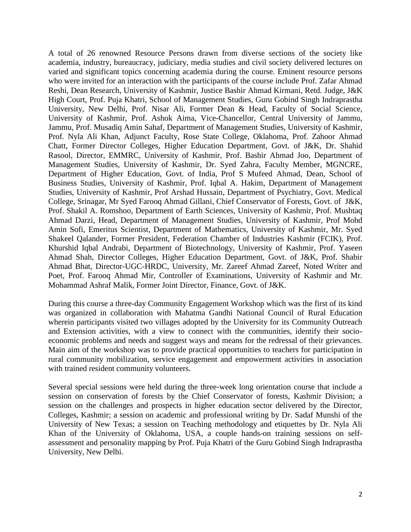A total of 26 renowned Resource Persons drawn from diverse sections of the society like academia, industry, bureaucracy, judiciary, media studies and civil society delivered lectures on varied and significant topics concerning academia during the course. Eminent resource persons who were invited for an interaction with the participants of the course include Prof. Zafar Ahmad Reshi, Dean Research, University of Kashmir, Justice Bashir Ahmad Kirmani, Retd. Judge, J&K High Court, Prof. Puja Khatri, School of Management Studies, Guru Gobind Singh Indraprastha University, New Delhi, Prof. Nisar Ali, Former Dean & Head, Faculty of Social Science, University of Kashmir, Prof. Ashok Aima, Vice-Chancellor, Central University of Jammu, Jammu, Prof. Musadiq Amin Sahaf, Department of Management Studies, University of Kashmir, Prof. Nyla Ali Khan, Adjunct Faculty, Rose State College, Oklahoma, Prof. Zahoor Ahmad Chatt, Former Director Colleges, Higher Education Department, Govt. of J&K, Dr. Shahid Rasool, Director, EMMRC, University of Kashmir, Prof. Bashir Ahmad Joo, Department of Management Studies, University of Kashmir, Dr. Syed Zahra, Faculty Member, MGNCRE, Department of Higher Education, Govt. of India, Prof S Mufeed Ahmad, Dean, School of Business Studies, University of Kashmir, Prof. Iqbal A. Hakim, Department of Management Studies, University of Kashmir, Prof Arshad Hussain, Department of Psychiatry, Govt. Medical College, Srinagar, Mr Syed Farooq Ahmad Gillani, Chief Conservator of Forests, Govt. of J&K, Prof. Shakil A. Romshoo, Department of Earth Sciences, University of Kashmir, Prof. Mushtaq Ahmad Darzi, Head, Department of Management Studies, University of Kashmir, Prof Mohd Amin Sofi, Emeritus Scientist, Department of Mathematics, University of Kashmir, Mr. Syed Shakeel Qalander, Former President, Federation Chamber of Industries Kashmir (FCIK), Prof. Khurshid Iqbal Andrabi, Department of Biotechnology, University of Kashmir, Prof. Yaseen Ahmad Shah, Director Colleges, Higher Education Department, Govt. of J&K, Prof. Shabir Ahmad Bhat, Director-UGC-HRDC, University, Mr. Zareef Ahmad Zareef, Noted Writer and Poet, Prof. Farooq Ahmad Mir, Controller of Examinations, University of Kashmir and Mr. Mohammad Ashraf Malik, Former Joint Director, Finance, Govt. of J&K.

During this course a three-day Community Engagement Workshop which was the first of its kind was organized in collaboration with Mahatma Gandhi National Council of Rural Education wherein participants visited two villages adopted by the University for its Community Outreach and Extension activities, with a view to connect with the communities, identify their socioeconomic problems and needs and suggest ways and means for the redressal of their grievances. Main aim of the workshop was to provide practical opportunities to teachers for participation in rural community mobilization, service engagement and empowerment activities in association with trained resident community volunteers.

Several special sessions were held during the three-week long orientation course that include a session on conservation of forests by the Chief Conservator of forests, Kashmir Division; a session on the challenges and prospects in higher education sector delivered by the Director, Colleges, Kashmir; a session on academic and professional writing by Dr. Sadaf Munshi of the University of New Texas; a session on Teaching methodology and etiquettes by Dr. Nyla Ali Khan of the University of Oklahoma, USA, a couple hands-on training sessions on selfassessment and personality mapping by Prof. Puja Khatri of the Guru Gobind Singh Indraprastha University, New Delhi.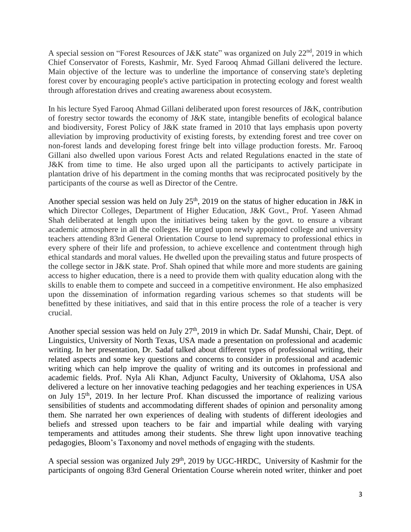A special session on "Forest Resources of J&K state" was organized on July 22<sup>nd</sup>, 2019 in which Chief Conservator of Forests, Kashmir, Mr. Syed Farooq Ahmad Gillani delivered the lecture. Main objective of the lecture was to underline the importance of conserving state's depleting forest cover by encouraging people's active participation in protecting ecology and forest wealth through afforestation drives and creating awareness about ecosystem.

In his lecture Syed Farooq Ahmad Gillani deliberated upon forest resources of J&K, contribution of forestry sector towards the economy of J&K state, intangible benefits of ecological balance and biodiversity, Forest Policy of J&K state framed in 2010 that lays emphasis upon poverty alleviation by improving productivity of existing forests, by extending forest and tree cover on non-forest lands and developing forest fringe belt into village production forests. Mr. Farooq Gillani also dwelled upon various Forest Acts and related Regulations enacted in the state of J&K from time to time. He also urged upon all the participants to actively participate in plantation drive of his department in the coming months that was reciprocated positively by the participants of the course as well as Director of the Centre.

Another special session was held on July  $25<sup>th</sup>$ , 2019 on the status of higher education in J&K in which Director Colleges, Department of Higher Education, J&K Govt., Prof. Yaseen Ahmad Shah deliberated at length upon the initiatives being taken by the govt. to ensure a vibrant academic atmosphere in all the colleges. He urged upon newly appointed college and university teachers attending 83rd General Orientation Course to lend supremacy to professional ethics in every sphere of their life and profession, to achieve excellence and contentment through high ethical standards and moral values. He dwelled upon the prevailing status and future prospects of the college sector in J&K state. Prof. Shah opined that while more and more students are gaining access to higher education, there is a need to provide them with quality education along with the skills to enable them to compete and succeed in a competitive environment. He also emphasized upon the dissemination of information regarding various schemes so that students will be benefitted by these initiatives, and said that in this entire process the role of a teacher is very crucial.

Another special session was held on July 27<sup>th</sup>, 2019 in which Dr. Sadaf Munshi, Chair, Dept. of Linguistics, University of North Texas, USA made a presentation on professional and academic writing. In her presentation, Dr. Sadaf talked about different types of professional writing, their related aspects and some key questions and concerns to consider in professional and academic writing which can help improve the quality of writing and its outcomes in professional and academic fields. Prof. Nyla Ali Khan, Adjunct Faculty, University of Oklahoma, USA also delivered a lecture on her innovative teaching pedagogies and her teaching experiences in USA on July  $15<sup>th</sup>$ , 2019. In her lecture Prof. Khan discussed the importance of realizing various sensibilities of students and accommodating different shades of opinion and personality among them. She narrated her own experiences of dealing with students of different ideologies and beliefs and stressed upon teachers to be fair and impartial while dealing with varying temperaments and attitudes among their students. She threw light upon innovative teaching pedagogies, Bloom's Taxonomy and novel methods of engaging with the students.

A special session was organized July 29<sup>th</sup>, 2019 by UGC-HRDC, University of Kashmir for the participants of ongoing 83rd General Orientation Course wherein noted writer, thinker and poet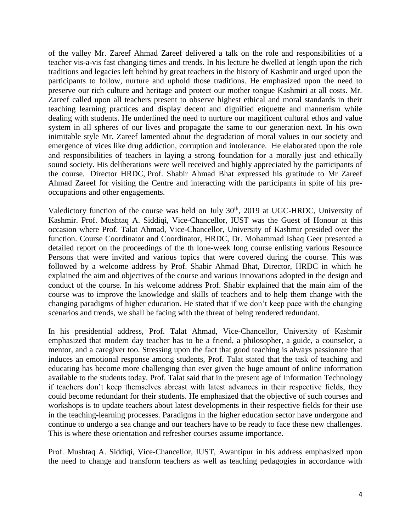of the valley Mr. Zareef Ahmad Zareef delivered a talk on the role and responsibilities of a teacher vis-a-vis fast changing times and trends. In his lecture he dwelled at length upon the rich traditions and legacies left behind by great teachers in the history of Kashmir and urged upon the participants to follow, nurture and uphold those traditions. He emphasized upon the need to preserve our rich culture and heritage and protect our mother tongue Kashmiri at all costs. Mr. Zareef called upon all teachers present to observe highest ethical and moral standards in their teaching learning practices and display decent and dignified etiquette and mannerism while dealing with students. He underlined the need to nurture our magificent cultural ethos and value system in all spheres of our lives and propagate the same to our generation next. In his own inimitable style Mr. Zareef lamented about the degradation of moral values in our society and emergence of vices like drug addiction, corruption and intolerance. He elaborated upon the role and responsibilities of teachers in laying a strong foundation for a morally just and ethically sound society. His deliberations were well received and highly appreciated by the participants of the course. Director HRDC, Prof. Shabir Ahmad Bhat expressed his gratitude to Mr Zareef Ahmad Zareef for visiting the Centre and interacting with the participants in spite of his preoccupations and other engagements.

Valedictory function of the course was held on July 30<sup>th</sup>, 2019 at UGC-HRDC, University of Kashmir. Prof. Mushtaq A. Siddiqi, Vice-Chancellor, IUST was the Guest of Honour at this occasion where Prof. Talat Ahmad, Vice-Chancellor, University of Kashmir presided over the function. Course Coordinator and Coordinator, HRDC, Dr. Mohammad Ishaq Geer presented a detailed report on the proceedings of the th lone-week long course enlisting various Resource Persons that were invited and various topics that were covered during the course. This was followed by a welcome address by Prof. Shabir Ahmad Bhat, Director, HRDC in which he explained the aim and objectives of the course and various innovations adopted in the design and conduct of the course. In his welcome address Prof. Shabir explained that the main aim of the course was to improve the knowledge and skills of teachers and to help them change with the changing paradigms of higher education. He stated that if we don't keep pace with the changing scenarios and trends, we shall be facing with the threat of being rendered redundant.

In his presidential address, Prof. Talat Ahmad, Vice-Chancellor, University of Kashmir emphasized that modern day teacher has to be a friend, a philosopher, a guide, a counselor, a mentor, and a caregiver too. Stressing upon the fact that good teaching is always passionate that induces an emotional response among students, Prof. Talat stated that the task of teaching and educating has become more challenging than ever given the huge amount of online information available to the students today. Prof. Talat said that in the present age of Information Technology if teachers don't keep themselves abreast with latest advances in their respective fields, they could become redundant for their students. He emphasized that the objective of such courses and workshops is to update teachers about latest developments in their respective fields for their use in the teaching-learning processes. Paradigms in the higher education sector have undergone and continue to undergo a sea change and our teachers have to be ready to face these new challenges. This is where these orientation and refresher courses assume importance.

Prof. Mushtaq A. Siddiqi, Vice-Chancellor, IUST, Awantipur in his address emphasized upon the need to change and transform teachers as well as teaching pedagogies in accordance with